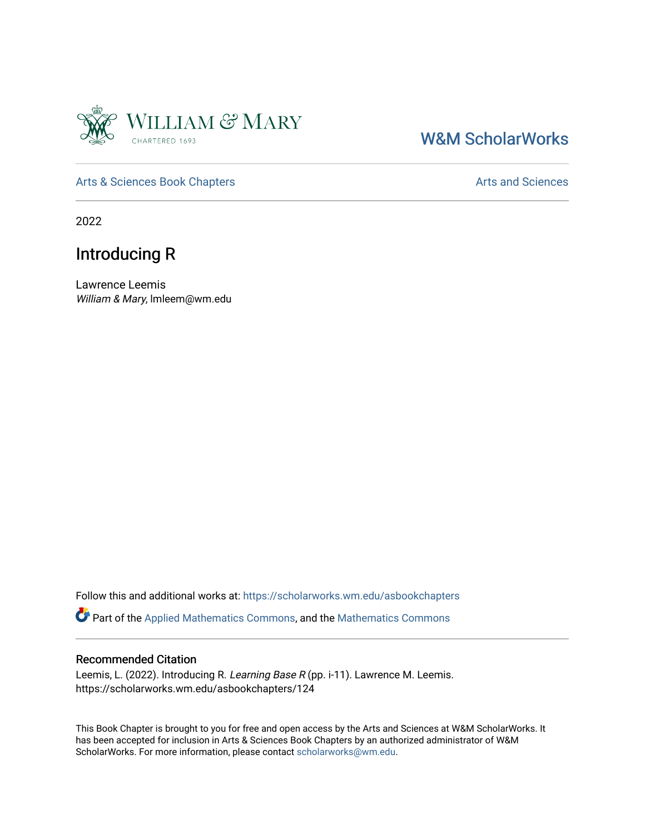

## [W&M ScholarWorks](https://scholarworks.wm.edu/)

[Arts & Sciences Book Chapters](https://scholarworks.wm.edu/asbookchapters) **Arts and Sciences** Arts and Sciences

2022

## Introducing R

Lawrence Leemis William & Mary, lmleem@wm.edu

Follow this and additional works at: [https://scholarworks.wm.edu/asbookchapters](https://scholarworks.wm.edu/asbookchapters?utm_source=scholarworks.wm.edu%2Fasbookchapters%2F124&utm_medium=PDF&utm_campaign=PDFCoverPages) 

Part of the [Applied Mathematics Commons](https://network.bepress.com/hgg/discipline/115?utm_source=scholarworks.wm.edu%2Fasbookchapters%2F124&utm_medium=PDF&utm_campaign=PDFCoverPages), and the [Mathematics Commons](https://network.bepress.com/hgg/discipline/174?utm_source=scholarworks.wm.edu%2Fasbookchapters%2F124&utm_medium=PDF&utm_campaign=PDFCoverPages) 

#### Recommended Citation

Leemis, L. (2022). Introducing R. Learning Base R (pp. i-11). Lawrence M. Leemis. https://scholarworks.wm.edu/asbookchapters/124

This Book Chapter is brought to you for free and open access by the Arts and Sciences at W&M ScholarWorks. It has been accepted for inclusion in Arts & Sciences Book Chapters by an authorized administrator of W&M ScholarWorks. For more information, please contact [scholarworks@wm.edu.](mailto:scholarworks@wm.edu)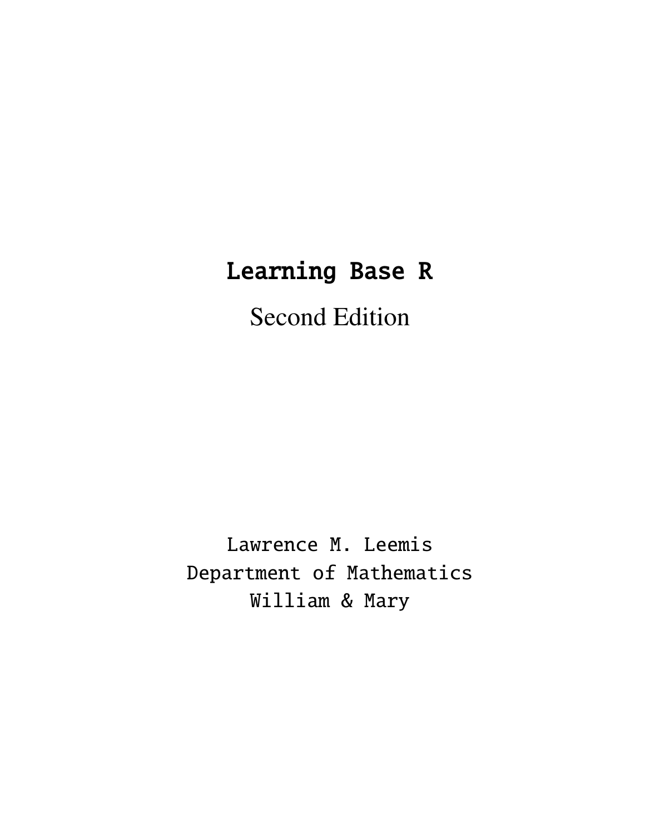# Learning Base R

# Second Edition

Lawrence M. Leemis Department of Mathematics William & Mary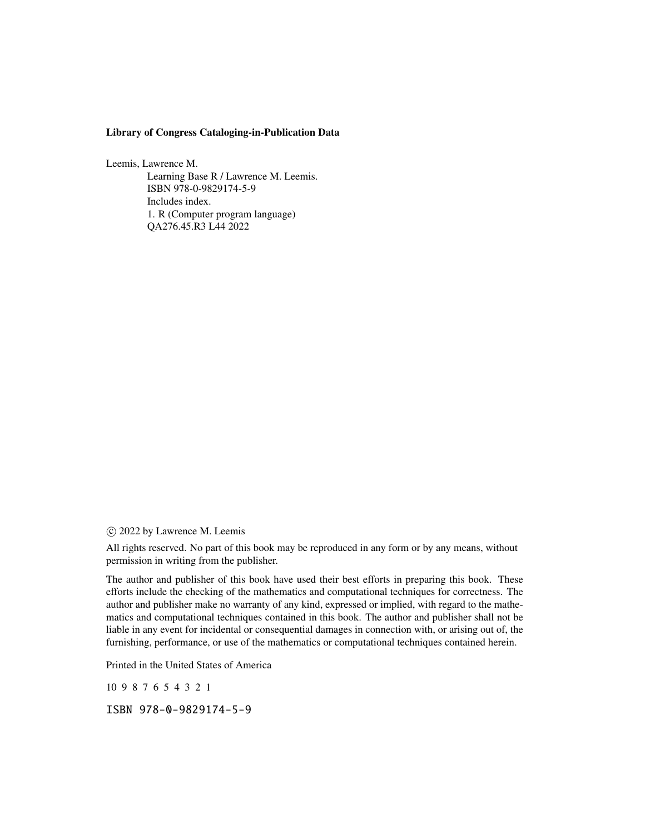#### Library of Congress Cataloging-in-Publication Data

Leemis, Lawrence M.

Learning Base R / Lawrence M. Leemis. ISBN 978-0-9829174-5-9 Includes index. 1. R (Computer program language) QA276.45.R3 L44 2022

c 2022 by Lawrence M. Leemis

All rights reserved. No part of this book may be reproduced in any form or by any means, without permission in writing from the publisher.

The author and publisher of this book have used their best efforts in preparing this book. These efforts include the checking of the mathematics and computational techniques for correctness. The author and publisher make no warranty of any kind, expressed or implied, with regard to the mathematics and computational techniques contained in this book. The author and publisher shall not be liable in any event for incidental or consequential damages in connection with, or arising out of, the furnishing, performance, or use of the mathematics or computational techniques contained herein.

Printed in the United States of America

10 9 8 7 6 5 4 3 2 1

ISBN 978-0-9829174-5-9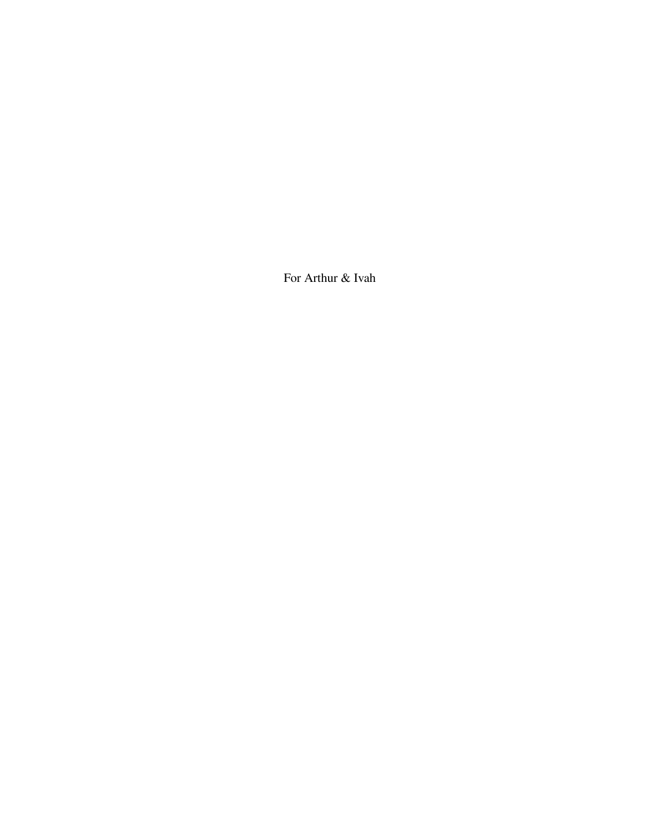For Arthur & Ivah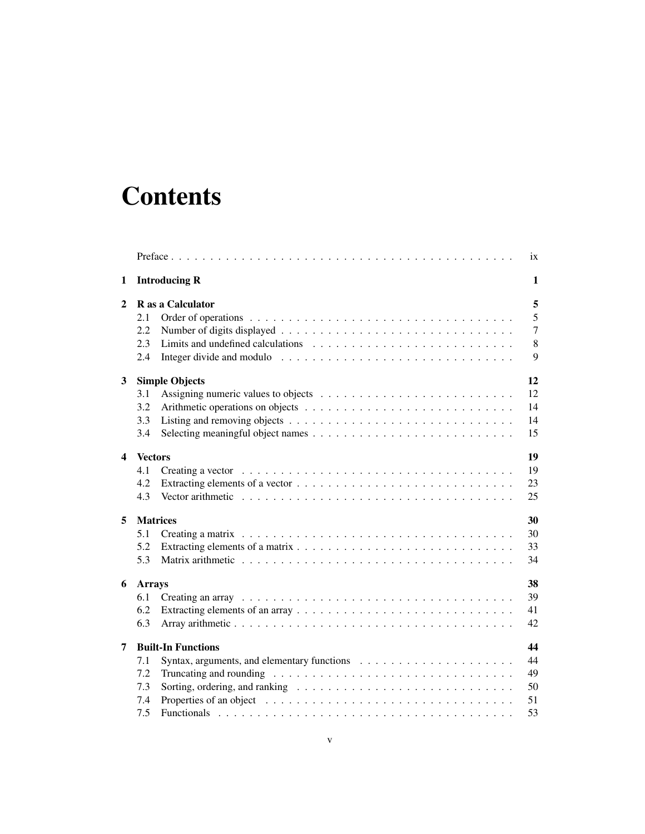# **Contents**

|                           |                       |                           | ix             |  |  |  |  |  |
|---------------------------|-----------------------|---------------------------|----------------|--|--|--|--|--|
| <b>Introducing R</b><br>1 |                       |                           |                |  |  |  |  |  |
| $\mathbf{2}$              |                       | R as a Calculator         | 5              |  |  |  |  |  |
|                           | 2.1                   |                           | 5              |  |  |  |  |  |
|                           | 2.2                   |                           | $\overline{7}$ |  |  |  |  |  |
|                           | 2.3                   |                           | 8              |  |  |  |  |  |
|                           | 2.4                   |                           | 9              |  |  |  |  |  |
| 3                         |                       | <b>Simple Objects</b>     | 12             |  |  |  |  |  |
|                           | 3.1                   |                           | 12             |  |  |  |  |  |
|                           | 3.2                   |                           | 14             |  |  |  |  |  |
|                           | 3.3                   |                           | 14             |  |  |  |  |  |
|                           | 3.4                   |                           | 15             |  |  |  |  |  |
| $\overline{\mathbf{4}}$   |                       | 19<br><b>Vectors</b>      |                |  |  |  |  |  |
|                           | 4.1                   |                           | 19             |  |  |  |  |  |
|                           | 4.2                   |                           | 23             |  |  |  |  |  |
|                           | 4.3                   |                           | 25             |  |  |  |  |  |
| 5                         | 30<br><b>Matrices</b> |                           |                |  |  |  |  |  |
|                           | 5.1                   |                           | 30             |  |  |  |  |  |
|                           | 5.2                   |                           | 33             |  |  |  |  |  |
|                           | 5.3                   |                           | 34             |  |  |  |  |  |
| 6                         | <b>Arrays</b>         |                           | 38             |  |  |  |  |  |
|                           | 6.1                   |                           | 39             |  |  |  |  |  |
|                           | 6.2                   |                           | 41             |  |  |  |  |  |
|                           | 6.3                   |                           | 42             |  |  |  |  |  |
| 7                         |                       | <b>Built-In Functions</b> | 44             |  |  |  |  |  |
|                           | 7.1                   |                           | 44             |  |  |  |  |  |
|                           | 7.2                   |                           | 49             |  |  |  |  |  |
|                           | 7.3                   |                           | 50             |  |  |  |  |  |
|                           | 7.4                   |                           | 51             |  |  |  |  |  |
|                           | 7.5                   |                           | 53             |  |  |  |  |  |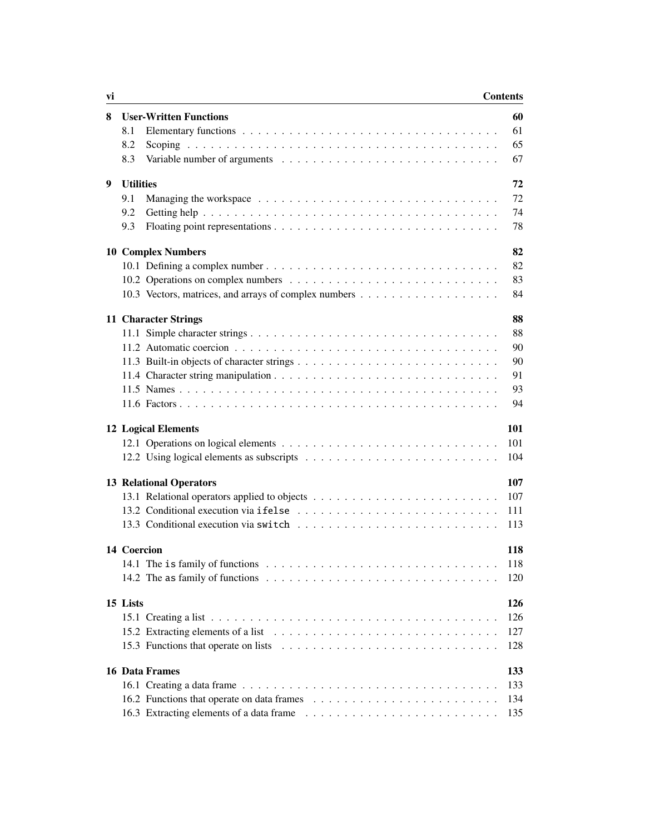| <b>Contents</b> |
|-----------------|
|-----------------|

| vi |                                | <b>Contents</b> |     |
|----|--------------------------------|-----------------|-----|
| 8  | <b>User-Written Functions</b>  |                 | 60  |
|    | 8.1                            |                 | 61  |
|    | 8.2                            |                 | 65  |
|    | 8.3                            |                 | 67  |
| 9  | <b>Utilities</b>               |                 | 72  |
|    | 9.1                            |                 | 72  |
|    | 9.2                            |                 | 74  |
|    | 9.3                            |                 | 78  |
|    | <b>10 Complex Numbers</b>      |                 | 82  |
|    |                                |                 | 82  |
|    |                                |                 | 83  |
|    |                                |                 | 84  |
|    | 11 Character Strings           |                 | 88  |
|    |                                |                 | 88  |
|    |                                |                 | 90  |
|    |                                |                 | 90  |
|    |                                |                 | 91  |
|    |                                |                 | 93  |
|    |                                |                 | 94  |
|    | <b>12 Logical Elements</b>     |                 | 101 |
|    |                                |                 | 101 |
|    |                                |                 | 104 |
|    | <b>13 Relational Operators</b> |                 | 107 |
|    |                                |                 | 107 |
|    |                                |                 | 111 |
|    |                                |                 | 113 |
|    | 14 Coercion                    |                 | 118 |
|    |                                |                 | 118 |
|    |                                |                 | 120 |
|    | 15 Lists                       |                 | 126 |
|    |                                |                 | 126 |
|    |                                |                 | 127 |
|    |                                |                 | 128 |
|    | <b>16 Data Frames</b>          |                 | 133 |
|    |                                |                 | 133 |
|    |                                |                 | 134 |
|    |                                |                 | 135 |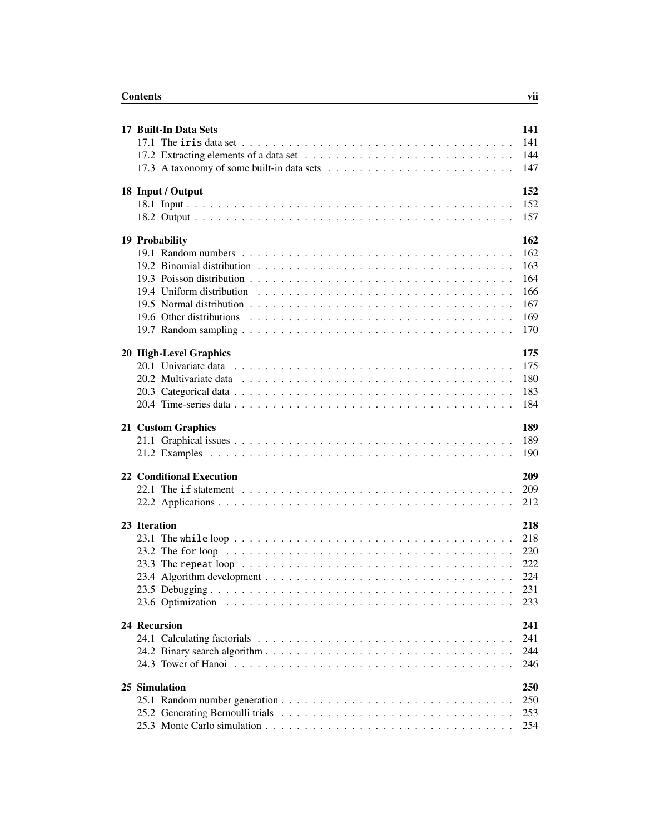| 17 Built-In Data Sets                                                                                       | 141 |
|-------------------------------------------------------------------------------------------------------------|-----|
|                                                                                                             | 141 |
|                                                                                                             | 144 |
|                                                                                                             | 147 |
|                                                                                                             |     |
| 18 Input / Output                                                                                           | 152 |
|                                                                                                             | 152 |
|                                                                                                             | 157 |
|                                                                                                             |     |
| 19 Probability                                                                                              | 162 |
|                                                                                                             | 162 |
|                                                                                                             | 163 |
|                                                                                                             | 164 |
|                                                                                                             | 166 |
|                                                                                                             | 167 |
|                                                                                                             | 169 |
|                                                                                                             | 170 |
|                                                                                                             |     |
| 20 High-Level Graphics                                                                                      | 175 |
|                                                                                                             | 175 |
|                                                                                                             | 180 |
|                                                                                                             | 183 |
|                                                                                                             | 184 |
|                                                                                                             |     |
| 21 Custom Graphics                                                                                          | 189 |
|                                                                                                             | 189 |
|                                                                                                             | 190 |
| <b>22 Conditional Execution</b>                                                                             | 209 |
| 22.1 The if statement $\ldots \ldots \ldots \ldots \ldots \ldots \ldots \ldots \ldots \ldots \ldots \ldots$ | 209 |
|                                                                                                             | 212 |
|                                                                                                             |     |
| 23 Iteration                                                                                                | 218 |
|                                                                                                             | 218 |
|                                                                                                             | 220 |
|                                                                                                             | 222 |
|                                                                                                             | 224 |
|                                                                                                             | 231 |
|                                                                                                             | 233 |
|                                                                                                             |     |
| 24 Recursion                                                                                                | 241 |
|                                                                                                             | 241 |
|                                                                                                             | 244 |
|                                                                                                             | 246 |
|                                                                                                             |     |
| 25 Simulation                                                                                               | 250 |
|                                                                                                             | 250 |
|                                                                                                             | 253 |
|                                                                                                             | 254 |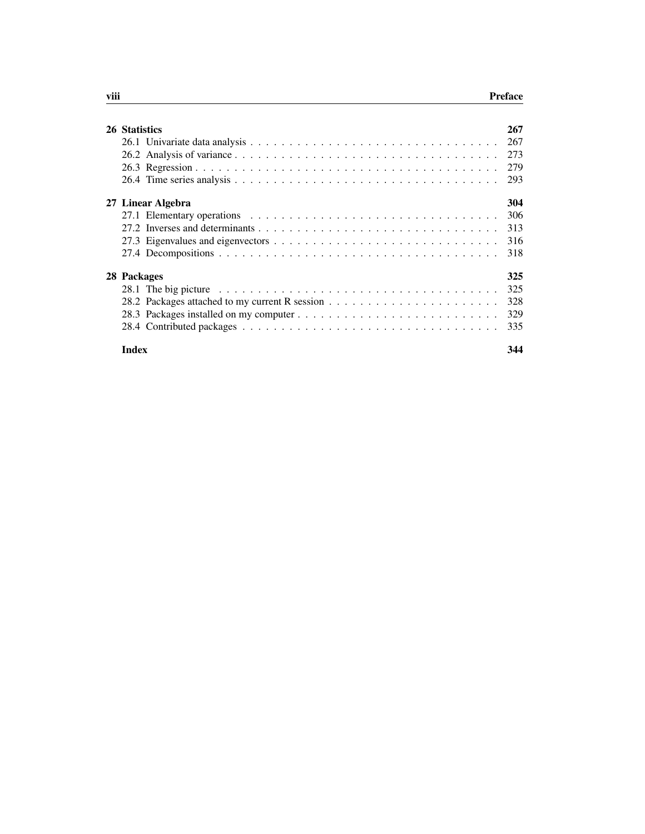| 26 Statistics |                                                                                                            | 267 |
|---------------|------------------------------------------------------------------------------------------------------------|-----|
|               |                                                                                                            | 267 |
|               |                                                                                                            | 273 |
|               |                                                                                                            | 279 |
|               |                                                                                                            | 293 |
|               | 27 Linear Algebra                                                                                          | 304 |
|               |                                                                                                            | 306 |
|               |                                                                                                            | 313 |
|               |                                                                                                            | 316 |
|               |                                                                                                            | 318 |
| 28 Packages   |                                                                                                            | 325 |
|               | 28.1 The big picture $\ldots \ldots \ldots \ldots \ldots \ldots \ldots \ldots \ldots \ldots \ldots \ldots$ | 325 |
|               |                                                                                                            | 328 |
|               |                                                                                                            | 329 |
|               |                                                                                                            | 335 |
| <b>Index</b>  |                                                                                                            | 344 |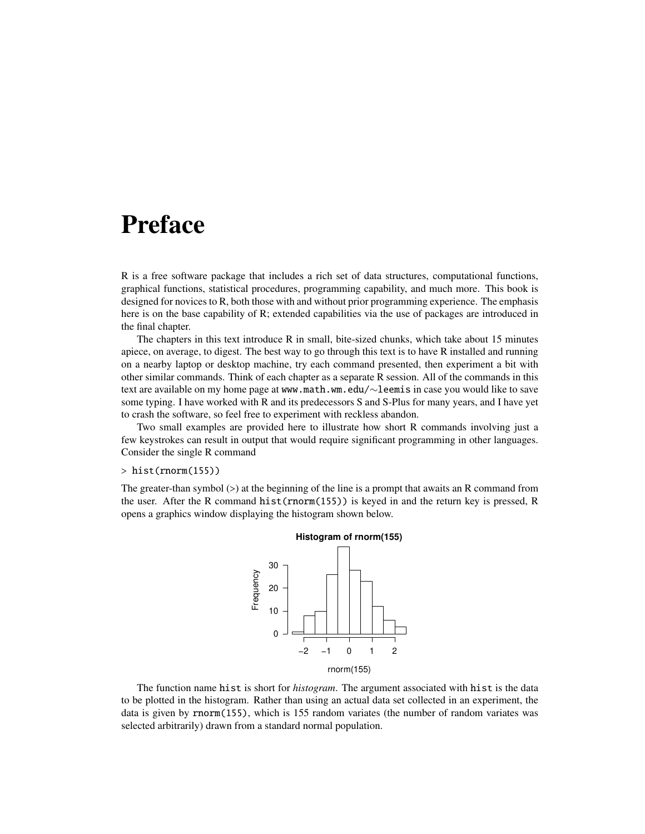## Preface

R is a free software package that includes a rich set of data structures, computational functions, graphical functions, statistical procedures, programming capability, and much more. This book is designed for novices to R, both those with and without prior programming experience. The emphasis here is on the base capability of R; extended capabilities via the use of packages are introduced in the final chapter.

The chapters in this text introduce R in small, bite-sized chunks, which take about 15 minutes apiece, on average, to digest. The best way to go through this text is to have R installed and running on a nearby laptop or desktop machine, try each command presented, then experiment a bit with other similar commands. Think of each chapter as a separate R session. All of the commands in this text are available on my home page at www.math.wm.edu/∼leemis in case you would like to save some typing. I have worked with R and its predecessors S and S-Plus for many years, and I have yet to crash the software, so feel free to experiment with reckless abandon.

Two small examples are provided here to illustrate how short R commands involving just a few keystrokes can result in output that would require significant programming in other languages. Consider the single R command

#### $>$  hist(rnorm(155))

The greater-than symbol (>) at the beginning of the line is a prompt that awaits an R command from the user. After the R command hist(rnorm(155)) is keyed in and the return key is pressed, R opens a graphics window displaying the histogram shown below.



The function name hist is short for *histogram*. The argument associated with hist is the data to be plotted in the histogram. Rather than using an actual data set collected in an experiment, the data is given by rnorm(155), which is 155 random variates (the number of random variates was selected arbitrarily) drawn from a standard normal population.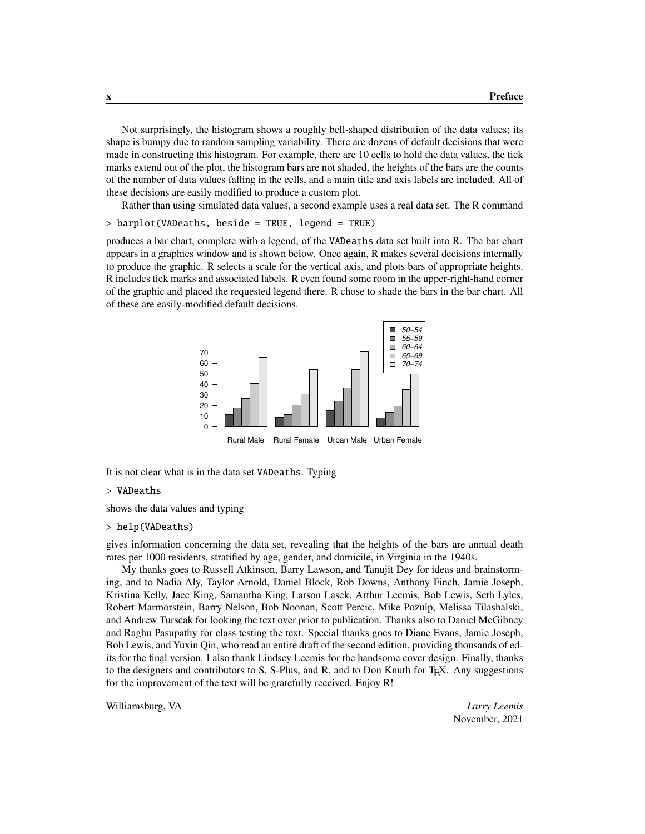Not surprisingly, the histogram shows a roughly bell-shaped distribution of the data values; its shape is bumpy due to random sampling variability. There are dozens of default decisions that were made in constructing this histogram. For example, there are 10 cells to hold the data values, the tick marks extend out of the plot, the histogram bars are not shaded, the heights of the bars are the counts of the number of data values falling in the cells, and a main title and axis labels are included. All of these decisions are easily modified to produce a custom plot.

Rather than using simulated data values, a second example uses a real data set. The R command

> barplot(VADeaths, beside = TRUE, legend = TRUE)

produces a bar chart, complete with a legend, of the VADeaths data set built into R. The bar chart appears in a graphics window and is shown below. Once again, R makes several decisions internally to produce the graphic. R selects a scale for the vertical axis, and plots bars of appropriate heights. R includes tick marks and associated labels. R even found some room in the upper-right-hand corner of the graphic and placed the requested legend there. R chose to shade the bars in the bar chart. All of these are easily-modified default decisions.



It is not clear what is in the data set VADeaths. Typing

#### > VADeaths

shows the data values and typing

#### > help(VADeaths)

gives information concerning the data set, revealing that the heights of the bars are annual death rates per 1000 residents, stratified by age, gender, and domicile, in Virginia in the 1940s.

My thanks goes to Russell Atkinson, Barry Lawson, and Tanujit Dey for ideas and brainstorming, and to Nadia Aly, Taylor Arnold, Daniel Block, Rob Downs, Anthony Finch, Jamie Joseph, Kristina Kelly, Jace King, Samantha King, Larson Lasek, Arthur Leemis, Bob Lewis, Seth Lyles, Robert Marmorstein, Barry Nelson, Bob Noonan, Scott Percic, Mike Pozulp, Melissa Tilashalski, and Andrew Turscak for looking the text over prior to publication. Thanks also to Daniel McGibney and Raghu Pasupathy for class testing the text. Special thanks goes to Diane Evans, Jamie Joseph, Bob Lewis, and Yuxin Qin, who read an entire draft of the second edition, providing thousands of edits for the final version. I also thank Lindsey Leemis for the handsome cover design. Finally, thanks to the designers and contributors to S, S-Plus, and R, and to Don Knuth for TEX. Any suggestions for the improvement of the text will be gratefully received. Enjoy R!

Williamsburg, VA *Larry Leemis*

November, 2021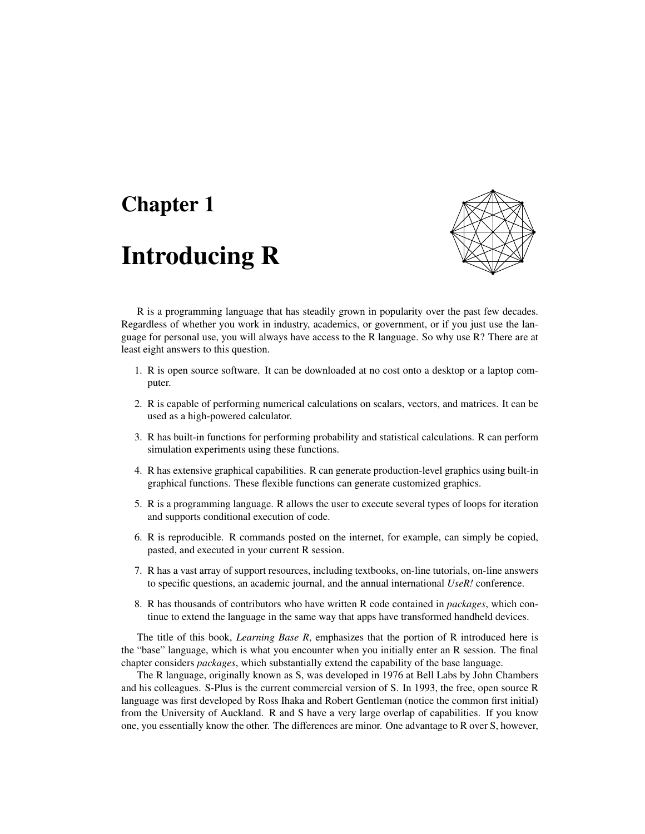## Chapter 1

# Introducing R



R is a programming language that has steadily grown in popularity over the past few decades. Regardless of whether you work in industry, academics, or government, or if you just use the language for personal use, you will always have access to the R language. So why use R? There are at least eight answers to this question.

- 1. R is open source software. It can be downloaded at no cost onto a desktop or a laptop computer.
- 2. R is capable of performing numerical calculations on scalars, vectors, and matrices. It can be used as a high-powered calculator.
- 3. R has built-in functions for performing probability and statistical calculations. R can perform simulation experiments using these functions.
- 4. R has extensive graphical capabilities. R can generate production-level graphics using built-in graphical functions. These flexible functions can generate customized graphics.
- 5. R is a programming language. R allows the user to execute several types of loops for iteration and supports conditional execution of code.
- 6. R is reproducible. R commands posted on the internet, for example, can simply be copied, pasted, and executed in your current R session.
- 7. R has a vast array of support resources, including textbooks, on-line tutorials, on-line answers to specific questions, an academic journal, and the annual international *UseR!* conference.
- 8. R has thousands of contributors who have written R code contained in *packages*, which continue to extend the language in the same way that apps have transformed handheld devices.

The title of this book, *Learning Base R*, emphasizes that the portion of R introduced here is the "base" language, which is what you encounter when you initially enter an R session. The final chapter considers *packages*, which substantially extend the capability of the base language.

The R language, originally known as S, was developed in 1976 at Bell Labs by John Chambers and his colleagues. S-Plus is the current commercial version of S. In 1993, the free, open source R language was first developed by Ross Ihaka and Robert Gentleman (notice the common first initial) from the University of Auckland. R and S have a very large overlap of capabilities. If you know one, you essentially know the other. The differences are minor. One advantage to R over S, however,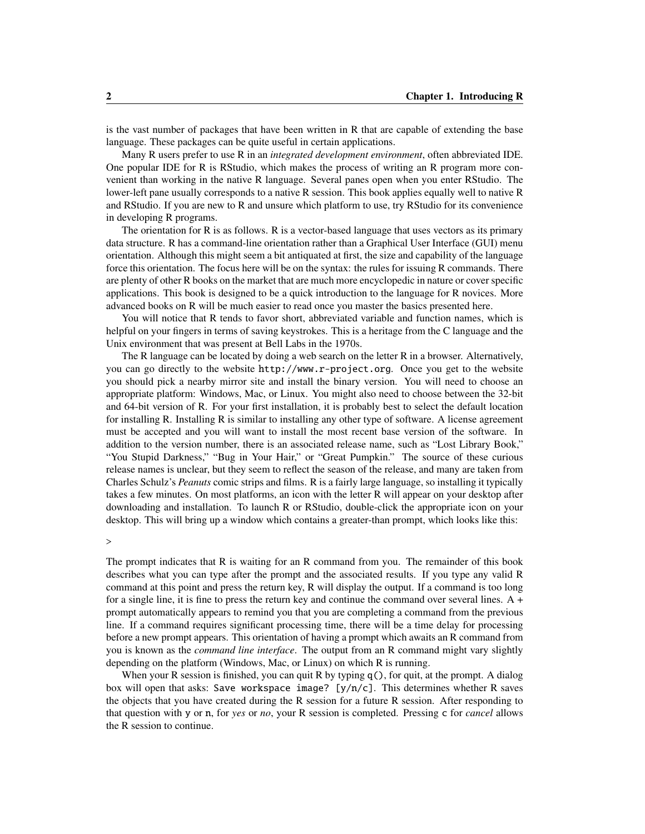is the vast number of packages that have been written in R that are capable of extending the base language. These packages can be quite useful in certain applications.

Many R users prefer to use R in an *integrated development environment*, often abbreviated IDE. One popular IDE for R is RStudio, which makes the process of writing an R program more convenient than working in the native R language. Several panes open when you enter RStudio. The lower-left pane usually corresponds to a native R session. This book applies equally well to native R and RStudio. If you are new to R and unsure which platform to use, try RStudio for its convenience in developing R programs.

The orientation for R is as follows. R is a vector-based language that uses vectors as its primary data structure. R has a command-line orientation rather than a Graphical User Interface (GUI) menu orientation. Although this might seem a bit antiquated at first, the size and capability of the language force this orientation. The focus here will be on the syntax: the rules for issuing R commands. There are plenty of other R books on the market that are much more encyclopedic in nature or cover specific applications. This book is designed to be a quick introduction to the language for R novices. More advanced books on R will be much easier to read once you master the basics presented here.

You will notice that R tends to favor short, abbreviated variable and function names, which is helpful on your fingers in terms of saving keystrokes. This is a heritage from the C language and the Unix environment that was present at Bell Labs in the 1970s.

The R language can be located by doing a web search on the letter R in a browser. Alternatively, you can go directly to the website http://www.r-project.org. Once you get to the website you should pick a nearby mirror site and install the binary version. You will need to choose an appropriate platform: Windows, Mac, or Linux. You might also need to choose between the 32-bit and 64-bit version of R. For your first installation, it is probably best to select the default location for installing R. Installing R is similar to installing any other type of software. A license agreement must be accepted and you will want to install the most recent base version of the software. In addition to the version number, there is an associated release name, such as "Lost Library Book," "You Stupid Darkness," "Bug in Your Hair," or "Great Pumpkin." The source of these curious release names is unclear, but they seem to reflect the season of the release, and many are taken from Charles Schulz's *Peanuts* comic strips and films. R is a fairly large language, so installing it typically takes a few minutes. On most platforms, an icon with the letter R will appear on your desktop after downloading and installation. To launch R or RStudio, double-click the appropriate icon on your desktop. This will bring up a window which contains a greater-than prompt, which looks like this:

>

The prompt indicates that R is waiting for an R command from you. The remainder of this book describes what you can type after the prompt and the associated results. If you type any valid R command at this point and press the return key, R will display the output. If a command is too long for a single line, it is fine to press the return key and continue the command over several lines. A + prompt automatically appears to remind you that you are completing a command from the previous line. If a command requires significant processing time, there will be a time delay for processing before a new prompt appears. This orientation of having a prompt which awaits an R command from you is known as the *command line interface*. The output from an R command might vary slightly depending on the platform (Windows, Mac, or Linux) on which R is running.

When your R session is finished, you can quit R by typing  $q()$ , for quit, at the prompt. A dialog box will open that asks: Save workspace image?  $[y/n/c]$ . This determines whether R saves the objects that you have created during the R session for a future R session. After responding to that question with y or n, for *yes* or *no*, your R session is completed. Pressing c for *cancel* allows the R session to continue.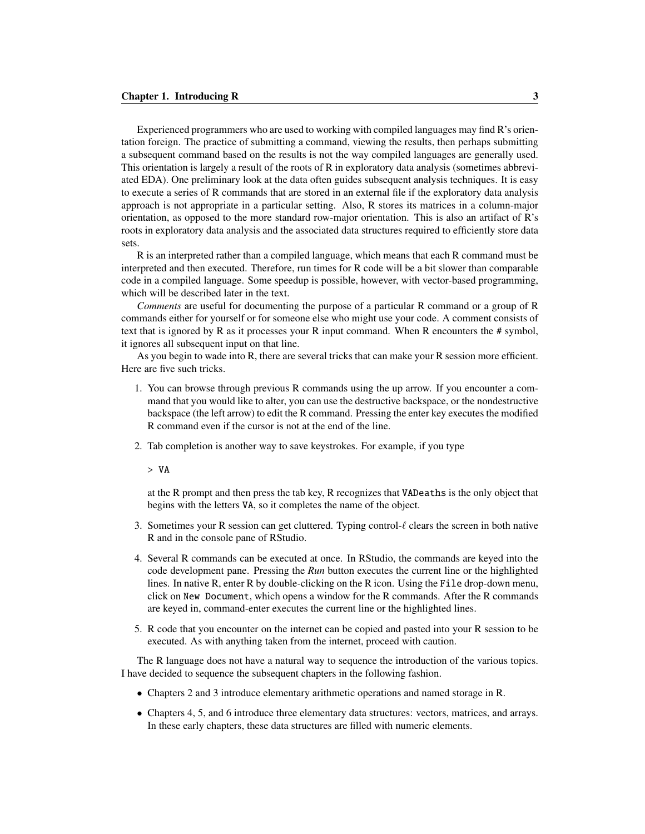Experienced programmers who are used to working with compiled languages may find R's orientation foreign. The practice of submitting a command, viewing the results, then perhaps submitting a subsequent command based on the results is not the way compiled languages are generally used. This orientation is largely a result of the roots of R in exploratory data analysis (sometimes abbreviated EDA). One preliminary look at the data often guides subsequent analysis techniques. It is easy to execute a series of R commands that are stored in an external file if the exploratory data analysis approach is not appropriate in a particular setting. Also, R stores its matrices in a column-major orientation, as opposed to the more standard row-major orientation. This is also an artifact of R's roots in exploratory data analysis and the associated data structures required to efficiently store data sets.

R is an interpreted rather than a compiled language, which means that each R command must be interpreted and then executed. Therefore, run times for R code will be a bit slower than comparable code in a compiled language. Some speedup is possible, however, with vector-based programming, which will be described later in the text.

*Comments* are useful for documenting the purpose of a particular R command or a group of R commands either for yourself or for someone else who might use your code. A comment consists of text that is ignored by R as it processes your R input command. When R encounters the # symbol, it ignores all subsequent input on that line.

As you begin to wade into R, there are several tricks that can make your R session more efficient. Here are five such tricks.

- 1. You can browse through previous R commands using the up arrow. If you encounter a command that you would like to alter, you can use the destructive backspace, or the nondestructive backspace (the left arrow) to edit the R command. Pressing the enter key executes the modified R command even if the cursor is not at the end of the line.
- 2. Tab completion is another way to save keystrokes. For example, if you type

> VA

at the R prompt and then press the tab key, R recognizes that VADeaths is the only object that begins with the letters VA, so it completes the name of the object.

- 3. Sometimes your R session can get cluttered. Typing control- $\ell$  clears the screen in both native R and in the console pane of RStudio.
- 4. Several R commands can be executed at once. In RStudio, the commands are keyed into the code development pane. Pressing the *Run* button executes the current line or the highlighted lines. In native R, enter R by double-clicking on the R icon. Using the File drop-down menu, click on New Document, which opens a window for the R commands. After the R commands are keyed in, command-enter executes the current line or the highlighted lines.
- 5. R code that you encounter on the internet can be copied and pasted into your R session to be executed. As with anything taken from the internet, proceed with caution.

The R language does not have a natural way to sequence the introduction of the various topics. I have decided to sequence the subsequent chapters in the following fashion.

- Chapters 2 and 3 introduce elementary arithmetic operations and named storage in R.
- Chapters 4, 5, and 6 introduce three elementary data structures: vectors, matrices, and arrays. In these early chapters, these data structures are filled with numeric elements.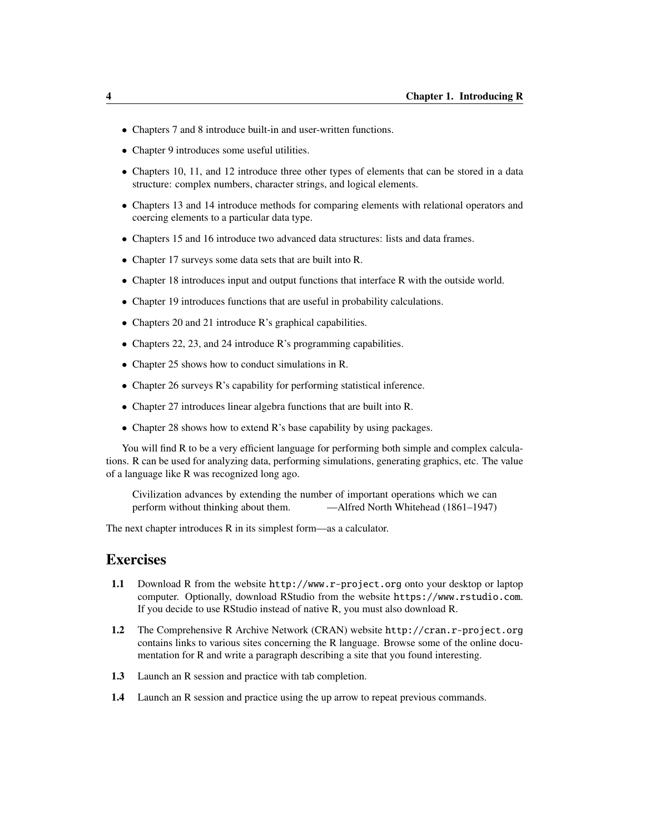- Chapters 7 and 8 introduce built-in and user-written functions.
- Chapter 9 introduces some useful utilities.
- Chapters 10, 11, and 12 introduce three other types of elements that can be stored in a data structure: complex numbers, character strings, and logical elements.
- Chapters 13 and 14 introduce methods for comparing elements with relational operators and coercing elements to a particular data type.
- Chapters 15 and 16 introduce two advanced data structures: lists and data frames.
- Chapter 17 surveys some data sets that are built into R.
- Chapter 18 introduces input and output functions that interface R with the outside world.
- Chapter 19 introduces functions that are useful in probability calculations.
- Chapters 20 and 21 introduce R's graphical capabilities.
- Chapters 22, 23, and 24 introduce R's programming capabilities.
- Chapter 25 shows how to conduct simulations in R.
- Chapter 26 surveys R's capability for performing statistical inference.
- Chapter 27 introduces linear algebra functions that are built into R.
- Chapter 28 shows how to extend R's base capability by using packages.

You will find R to be a very efficient language for performing both simple and complex calculations. R can be used for analyzing data, performing simulations, generating graphics, etc. The value of a language like R was recognized long ago.

Civilization advances by extending the number of important operations which we can perform without thinking about them. —Alfred North Whitehead (1861–1947)

The next chapter introduces R in its simplest form—as a calculator.

### Exercises

- 1.1 Download R from the website http://www.r-project.org onto your desktop or laptop computer. Optionally, download RStudio from the website https://www.rstudio.com. If you decide to use RStudio instead of native R, you must also download R.
- 1.2 The Comprehensive R Archive Network (CRAN) website http://cran.r-project.org contains links to various sites concerning the R language. Browse some of the online documentation for R and write a paragraph describing a site that you found interesting.
- 1.3 Launch an R session and practice with tab completion.
- 1.4 Launch an R session and practice using the up arrow to repeat previous commands.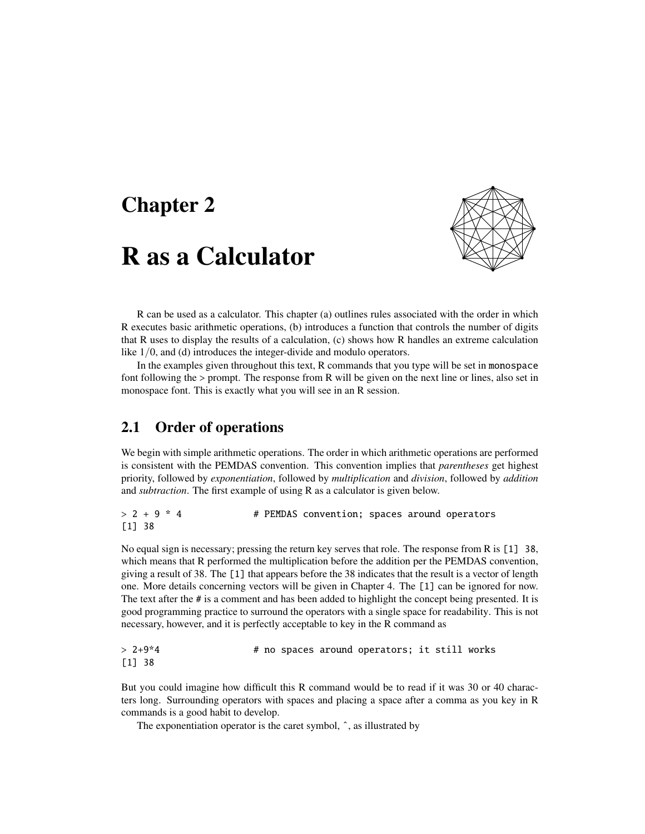## Chapter 2

## R as a Calculator



R can be used as a calculator. This chapter (a) outlines rules associated with the order in which R executes basic arithmetic operations, (b) introduces a function that controls the number of digits that R uses to display the results of a calculation, (c) shows how R handles an extreme calculation like  $1/0$ , and (d) introduces the integer-divide and modulo operators.

In the examples given throughout this text, R commands that you type will be set in monospace font following the > prompt. The response from R will be given on the next line or lines, also set in monospace font. This is exactly what you will see in an R session.

### 2.1 Order of operations

We begin with simple arithmetic operations. The order in which arithmetic operations are performed is consistent with the PEMDAS convention. This convention implies that *parentheses* get highest priority, followed by *exponentiation*, followed by *multiplication* and *division*, followed by *addition* and *subtraction*. The first example of using R as a calculator is given below.

> 2 + 9 \* 4 # PEMDAS convention; spaces around operators [1] 38

No equal sign is necessary; pressing the return key serves that role. The response from R is [1] 38, which means that R performed the multiplication before the addition per the PEMDAS convention, giving a result of 38. The [1] that appears before the 38 indicates that the result is a vector of length one. More details concerning vectors will be given in Chapter 4. The [1] can be ignored for now. The text after the # is a comment and has been added to highlight the concept being presented. It is good programming practice to surround the operators with a single space for readability. This is not necessary, however, and it is perfectly acceptable to key in the R command as

```
> 2+9*4 # no spaces around operators; it still works
[1] 38
```
But you could imagine how difficult this R command would be to read if it was 30 or 40 characters long. Surrounding operators with spaces and placing a space after a comma as you key in R commands is a good habit to develop.

The exponentiation operator is the caret symbol,  $\hat{\ }$ , as illustrated by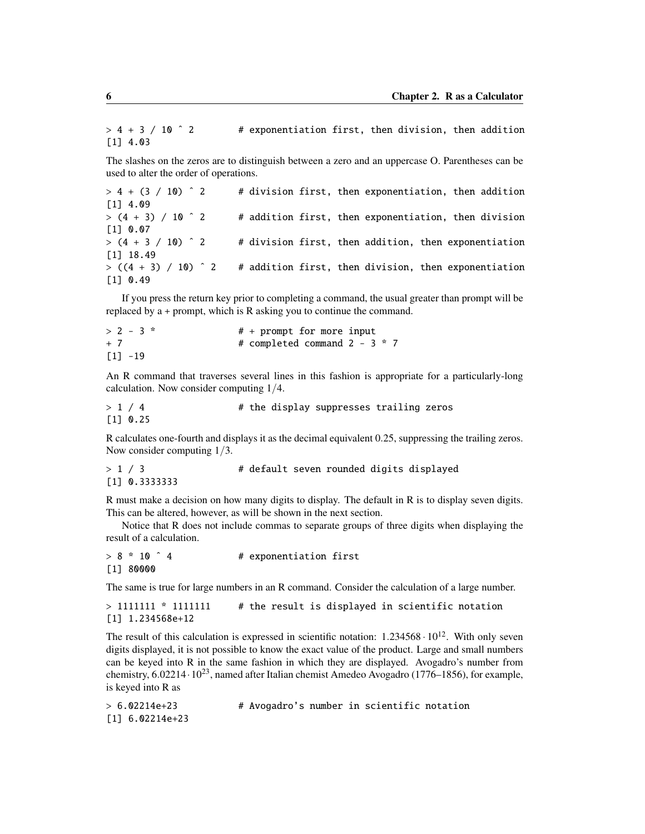$> 4 + 3 / 10$   $\degree$  2 # exponentiation first, then division, then addition [1] 4.03

The slashes on the zeros are to distinguish between a zero and an uppercase O. Parentheses can be used to alter the order of operations.

 $> 4 + (3 / 10)$   $\degree$  2 # division first, then exponentiation, then addition [1] 4.09  $>$  (4 + 3) / 10  $\hat{ }$  2 # addition first, then exponentiation, then division [1] 0.07  $>$  (4 + 3 / 10)  $\hat{ }$  2 # division first, then addition, then exponentiation [1] 18.49  $> ((4 + 3) / 10)$   $\hat{ }$  2 # addition first, then division, then exponentiation [1] 0.49

If you press the return key prior to completing a command, the usual greater than prompt will be replaced by a + prompt, which is R asking you to continue the command.

 $> 2 - 3$  \*  $\qquad \qquad # + prompt for more input$ + 7 # completed command 2 - 3 \* 7  $[1] -19$ 

An R command that traverses several lines in this fashion is appropriate for a particularly-long calculation. Now consider computing 1/4.

> 1 / 4 # the display suppresses trailing zeros [1] 0.25

R calculates one-fourth and displays it as the decimal equivalent 0.25, suppressing the trailing zeros. Now consider computing 1/3.

```
> 1 / 3 \# default seven rounded digits displayed
[1] 0.3333333
```
R must make a decision on how many digits to display. The default in R is to display seven digits. This can be altered, however, as will be shown in the next section.

Notice that R does not include commas to separate groups of three digits when displaying the result of a calculation.

 $> 8 * 10$   $4$   $*$  exponentiation first [1] 80000

The same is true for large numbers in an R command. Consider the calculation of a large number.

```
> 1111111 * 1111111 # the result is displayed in scientific notation
[1] 1.234568e+12
```
The result of this calculation is expressed in scientific notation:  $1.234568 \cdot 10^{12}$ . With only seven digits displayed, it is not possible to know the exact value of the product. Large and small numbers can be keyed into R in the same fashion in which they are displayed. Avogadro's number from chemistry,  $6.02214 \cdot 10^{23}$ , named after Italian chemist Amedeo Avogadro (1776–1856), for example, is keyed into R as

```
> 6.02214e+23 # Avogadro's number in scientific notation
[1] 6.02214e+23
```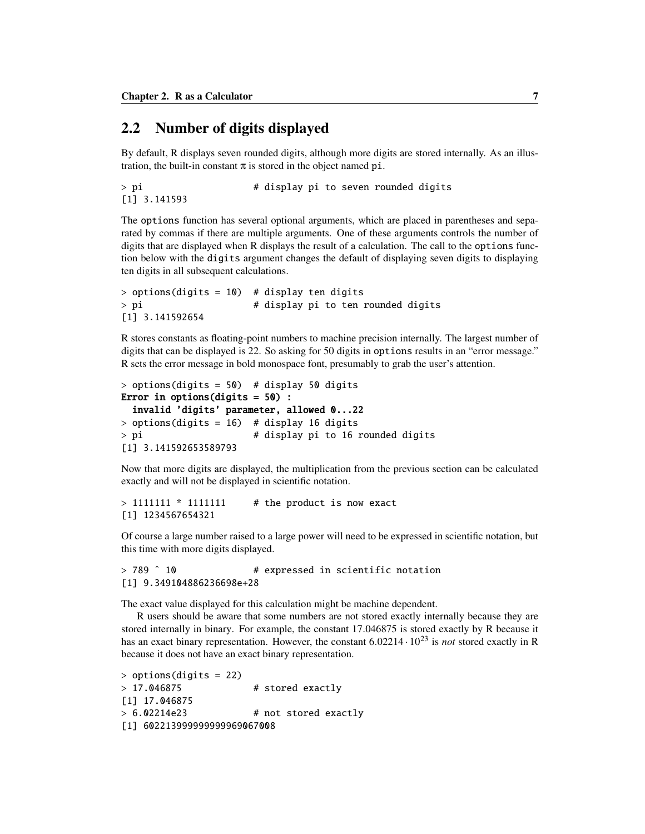### 2.2 Number of digits displayed

By default, R displays seven rounded digits, although more digits are stored internally. As an illustration, the built-in constant  $\pi$  is stored in the object named pi.

```
> pi \longrightarrow # display pi to seven rounded digits
[1] 3.141593
```
The options function has several optional arguments, which are placed in parentheses and separated by commas if there are multiple arguments. One of these arguments controls the number of digits that are displayed when R displays the result of a calculation. The call to the options function below with the digits argument changes the default of displaying seven digits to displaying ten digits in all subsequent calculations.

```
> options(digits = 10) # display ten digits
> pi \longrightarrow # display pi to ten rounded digits
[1] 3.141592654
```
R stores constants as floating-point numbers to machine precision internally. The largest number of digits that can be displayed is 22. So asking for 50 digits in options results in an "error message." R sets the error message in bold monospace font, presumably to grab the user's attention.

```
> options(digits = 50) # display 50 digits
Error in options(digits = 50) :
 invalid 'digits' parameter, allowed 0...22
> options(digits = 16) # display 16 digits
> pi # display pi to 16 rounded digits
[1] 3.141592653589793
```
Now that more digits are displayed, the multiplication from the previous section can be calculated exactly and will not be displayed in scientific notation.

```
> 1111111 * 11111111 # the product is now exact
[1] 1234567654321
```
Of course a large number raised to a large power will need to be expressed in scientific notation, but this time with more digits displayed.

```
> 789 ^ 10 \rightarrow # expressed in scientific notation
[1] 9.349104886236698e+28
```
The exact value displayed for this calculation might be machine dependent.

R users should be aware that some numbers are not stored exactly internally because they are stored internally in binary. For example, the constant 17.046875 is stored exactly by R because it has an exact binary representation. However, the constant 6.<sup>02214</sup> · <sup>10</sup><sup>23</sup> is *not* stored exactly in R because it does not have an exact binary representation.

```
> options(digits = 22)
> 17.046875 # stored exactly
[1] 17.046875
> 6.02214e23 # not stored exactly
[1] 602213999999999969067008
```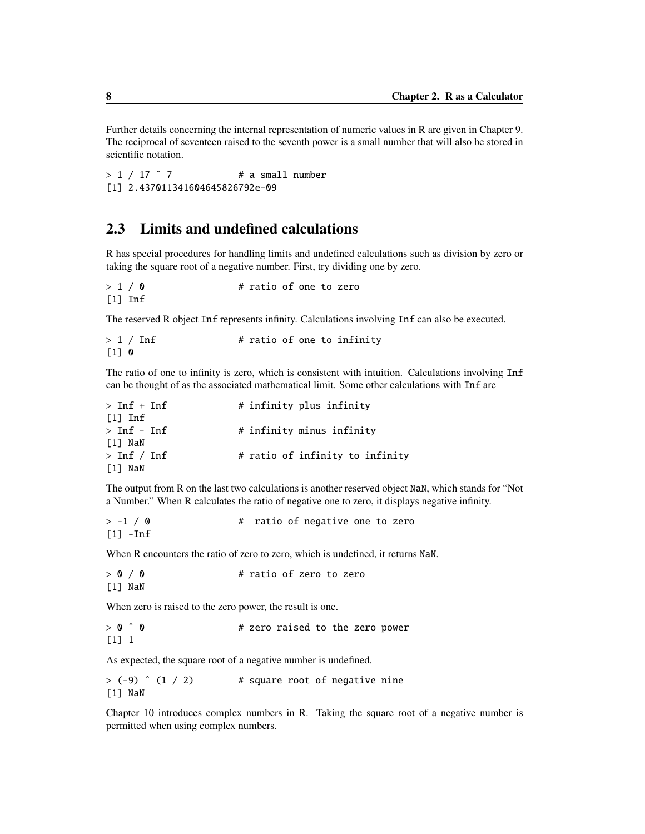Further details concerning the internal representation of numeric values in R are given in Chapter 9. The reciprocal of seventeen raised to the seventh power is a small number that will also be stored in scientific notation.

 $> 1 / 17$   $^{\circ}$  7  $^{\prime}$  # a small number [1] 2.437011341604645826792e-09

### 2.3 Limits and undefined calculations

R has special procedures for handling limits and undefined calculations such as division by zero or taking the square root of a negative number. First, try dividing one by zero.

 $> 1 / 0$  # ratio of one to zero [1] Inf

The reserved R object Inf represents infinity. Calculations involving Inf can also be executed.

```
> 1 / Inf * ratio of one to infinity
[1] 0
```
The ratio of one to infinity is zero, which is consistent with intuition. Calculations involving Inf can be thought of as the associated mathematical limit. Some other calculations with Inf are

| $>$ Inf + Inf         | # infinity plus infinity        |
|-----------------------|---------------------------------|
| $\lceil 1 \rceil$ Inf |                                 |
| $>$ Inf - Inf         | # infinity minus infinity       |
| [1] NaN               |                                 |
| $>$ Inf / Inf         | # ratio of infinity to infinity |
| [1] NaN               |                                 |

The output from R on the last two calculations is another reserved object NaN, which stands for "Not a Number." When R calculates the ratio of negative one to zero, it displays negative infinity.

```
> -1 / 0 \# ratio of negative one to zero
[1] -Inf
```
When R encounters the ratio of zero to zero, which is undefined, it returns NaN.

| > 0 / 0   | # ratio of zero to zero |  |  |
|-----------|-------------------------|--|--|
| $[1]$ NaN |                         |  |  |

When zero is raised to the zero power, the result is one.

 $> 0$   $\hat{ }$  0  $\hat{ }$  + zero raised to the zero power  $\lceil 1 \rceil$  1

As expected, the square root of a negative number is undefined.

 $>$  (-9)  $\hat{ }$  (1 / 2) # square root of negative nine [1] NaN

Chapter 10 introduces complex numbers in R. Taking the square root of a negative number is permitted when using complex numbers.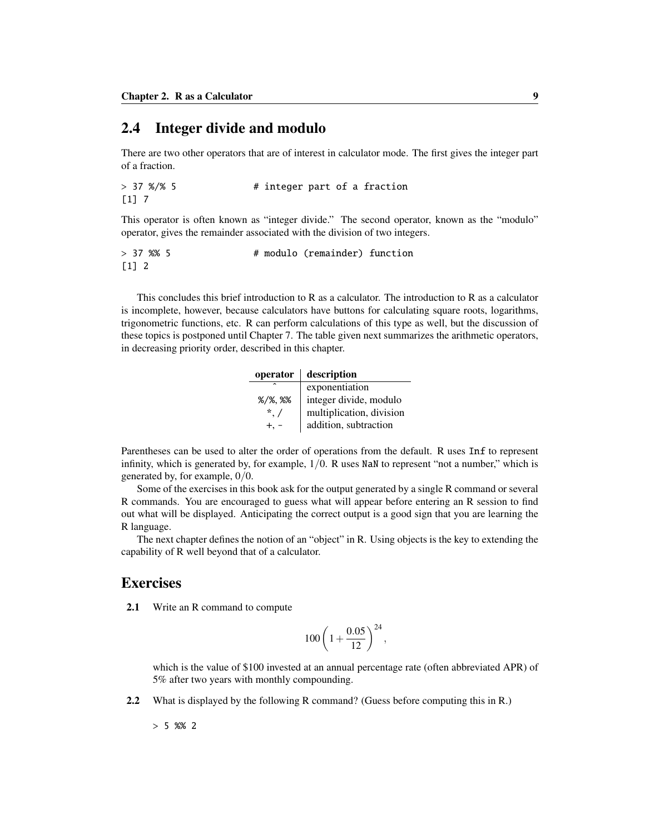### 2.4 Integer divide and modulo

There are two other operators that are of interest in calculator mode. The first gives the integer part of a fraction.

```
> 37 %/% 5 \qquad # integer part of a fraction
[1] 7
```
This operator is often known as "integer divide." The second operator, known as the "modulo" operator, gives the remainder associated with the division of two integers.

```
> 37 %% 5 # modulo (remainder) function
[1] 2
```
This concludes this brief introduction to R as a calculator. The introduction to R as a calculator is incomplete, however, because calculators have buttons for calculating square roots, logarithms, trigonometric functions, etc. R can perform calculations of this type as well, but the discussion of these topics is postponed until Chapter 7. The table given next summarizes the arithmetic operators, in decreasing priority order, described in this chapter.

| operator            | description              |
|---------------------|--------------------------|
|                     | exponentiation           |
| $\frac{2}{1}$ %, %% | integer divide, modulo   |
| $*$ /               | multiplication, division |
|                     | addition, subtraction    |

Parentheses can be used to alter the order of operations from the default. R uses Inf to represent infinity, which is generated by, for example,  $1/0$ . R uses NaN to represent "not a number," which is generated by, for example, 0/0.

Some of the exercises in this book ask for the output generated by a single R command or several R commands. You are encouraged to guess what will appear before entering an R session to find out what will be displayed. Anticipating the correct output is a good sign that you are learning the R language.

The next chapter defines the notion of an "object" in R. Using objects is the key to extending the capability of R well beyond that of a calculator.

### **Exercises**

2.1 Write an R command to compute

$$
100\left(1+\frac{0.05}{12}\right)^{24},
$$

which is the value of \$100 invested at an annual percentage rate (often abbreviated APR) of 5% after two years with monthly compounding.

2.2 What is displayed by the following R command? (Guess before computing this in R.)

 $> 5 %82$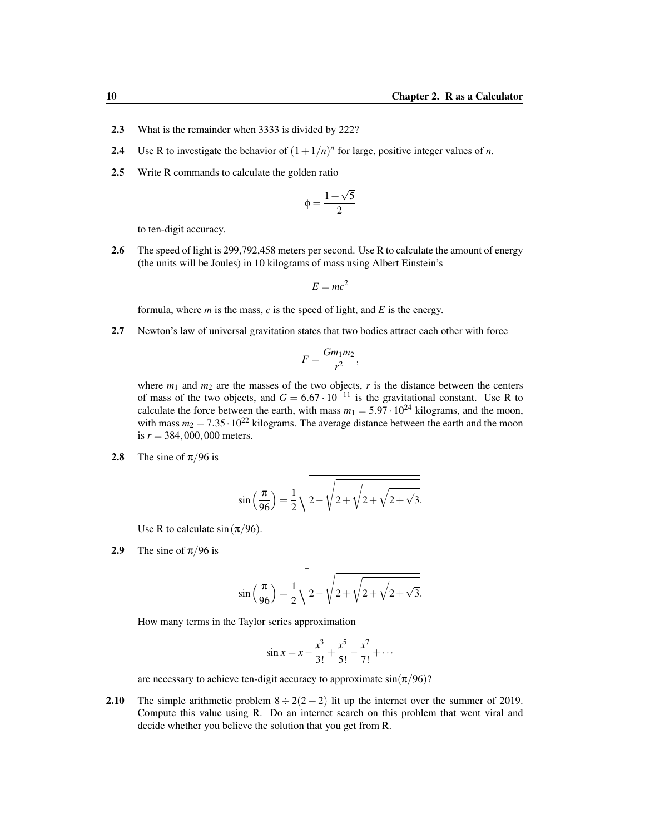- 2.3 What is the remainder when 3333 is divided by 222?
- 2.4 Use R to investigate the behavior of  $(1 + 1/n)^n$  for large, positive integer values of *n*.
- 2.5 Write R commands to calculate the golden ratio

$$
\varphi=\frac{1+\sqrt{5}}{2}
$$

to ten-digit accuracy.

2.6 The speed of light is 299,792,458 meters per second. Use R to calculate the amount of energy (the units will be Joules) in 10 kilograms of mass using Albert Einstein's

$$
E = mc^2
$$

formula, where  $m$  is the mass,  $c$  is the speed of light, and  $E$  is the energy.

2.7 Newton's law of universal gravitation states that two bodies attract each other with force

$$
F=\frac{Gm_1m_2}{r^2},
$$

where  $m_1$  and  $m_2$  are the masses of the two objects,  $r$  is the distance between the centers of mass of the two objects, and  $G = 6.67 \cdot 10^{-11}$  is the gravitational constant. Use R to calculate the force between the earth, with mass  $m_1 = 5.97 \cdot 10^{24}$  kilograms, and the moon, with mass  $m_2 = 7.35 \cdot 10^{22}$  kilograms. The average distance between the earth and the moon is  $r = 384,000,000$  meters.

2.8 The sine of  $\pi/96$  is

$$
\sin\left(\frac{\pi}{96}\right) = \frac{1}{2}\sqrt{2 - \sqrt{2 + \sqrt{2 + \sqrt{2 + \sqrt{3}}}}}
$$

Use R to calculate  $sin(\pi/96)$ .

2.9 The sine of  $\pi/96$  is

$$
\sin\left(\frac{\pi}{96}\right) = \frac{1}{2}\sqrt{2 - \sqrt{2 + \sqrt{2 + \sqrt{2 + \sqrt{3}}}}}
$$

How many terms in the Taylor series approximation

$$
\sin x = x - \frac{x^3}{3!} + \frac{x^5}{5!} - \frac{x^7}{7!} + \cdots
$$

are necessary to achieve ten-digit accuracy to approximate  $sin(\pi/96)$ ?

**2.10** The simple arithmetic problem  $8 \div 2(2 + 2)$  lit up the internet over the summer of 2019. Compute this value using R. Do an internet search on this problem that went viral and decide whether you believe the solution that you get from R.